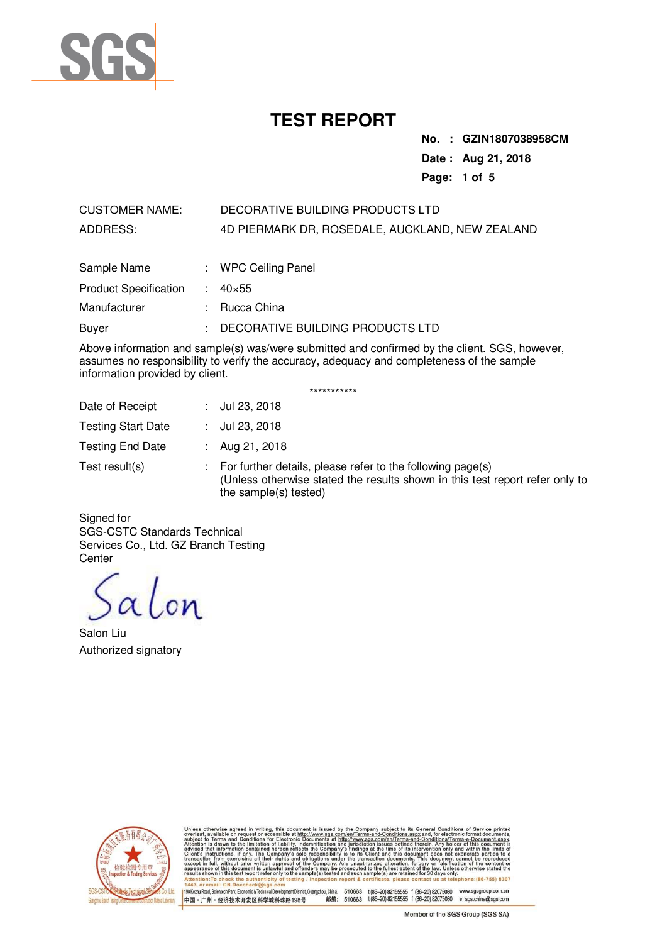

**No. : GZIN1807038958CM Date : Aug 21, 2018 Page: 1 of 5** 

# CUSTOMER NAME: DECORATIVE BUILDING PRODUCTS LTD ADDRESS: 4D PIERMARK DR, ROSEDALE, AUCKLAND, NEW ZEALAND

| Sample Name                  | : WPC Ceiling Panel              |
|------------------------------|----------------------------------|
| <b>Product Specification</b> | $: 40 \times 55$                 |
| Manufacturer                 | : Rucca China                    |
| Buver                        | DECORATIVE BUILDING PRODUCTS LTD |

Above information and sample(s) was/were submitted and confirmed by the client. SGS, however, assumes no responsibility to verify the accuracy, adequacy and completeness of the sample information provided by client.

|                           | ***********                                                                                                                                                         |
|---------------------------|---------------------------------------------------------------------------------------------------------------------------------------------------------------------|
| Date of Receipt           | Jul 23, 2018                                                                                                                                                        |
| <b>Testing Start Date</b> | Jul 23, 2018                                                                                                                                                        |
| <b>Testing End Date</b>   | Aug 21, 2018                                                                                                                                                        |
| Test result(s)            | For further details, please refer to the following page(s)<br>(Unless otherwise stated the results shown in this test report refer only to<br>the sample(s) tested) |

Signed for SGS-CSTC Standards Technical Services Co., Ltd. GZ Branch Testing **Center** 

alon

Salon Liu Authorized signatory



its General Conditions of Service The mean of the conditions are conditioned to the conditional conditions of the conditions of the conditions of the conditions of the conditions of the conditions of the conditions of the conditions of the conditions of th www.sgs.com/<br>iments at http<br>nification and at http://w<br>ronic Docu or Electron<br>of liability  $(86 - 755)$  8307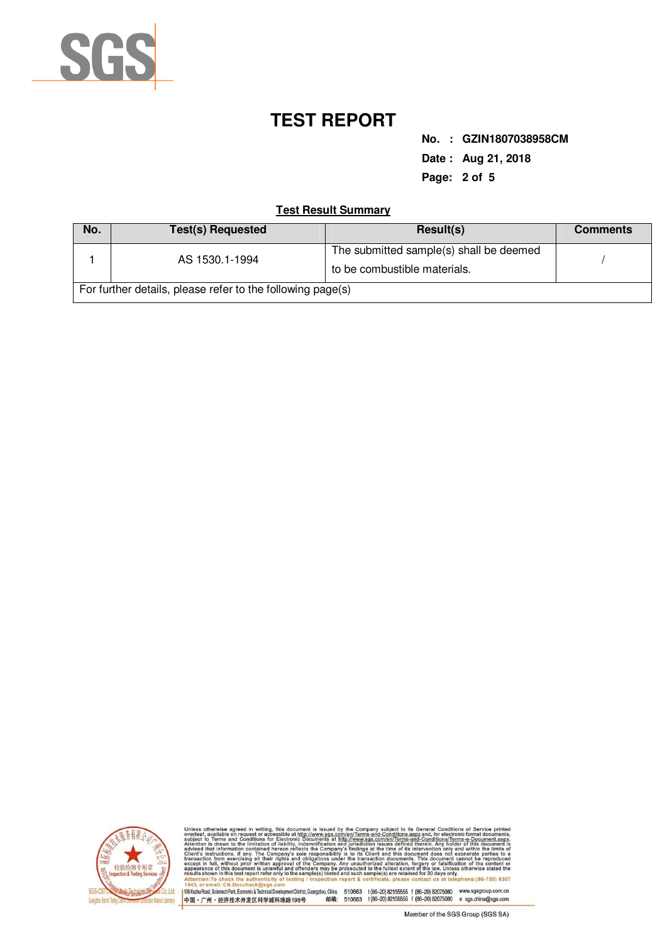

**No. : GZIN1807038958CM Date : Aug 21, 2018 Page: 2 of 5** 

## **Test Result Summary**

| No.                                                        | <b>Test(s) Requested</b> | Result(s)                               | <b>Comments</b> |  |  |
|------------------------------------------------------------|--------------------------|-----------------------------------------|-----------------|--|--|
|                                                            | AS 1530.1-1994           | The submitted sample(s) shall be deemed |                 |  |  |
|                                                            |                          | to be combustible materials.            |                 |  |  |
| For further details, please refer to the following page(s) |                          |                                         |                 |  |  |



when wise agreed in writing, this document is issued by the Company subject to its General Conditions of Service printed<br>is Valimble on the constant of the Company subject to its General Conditions and for the figure and C sul<br>Att app one: (86-755) 8307 ail: CN.D - 1443。or email: C.M.Docc.neck@sags.com<br>|198*kez*lu Road, ScientechPark, Economic&Technical DevelopmentDistrict,Guangzhou, China. 510663 t(86–20) 821555555 f (86–20) 82075080 www.sgsgroup.com.cn<br>|中国・广州・经济技术开发区科学城科珠路198号

Member of the SGS Group (SGS SA)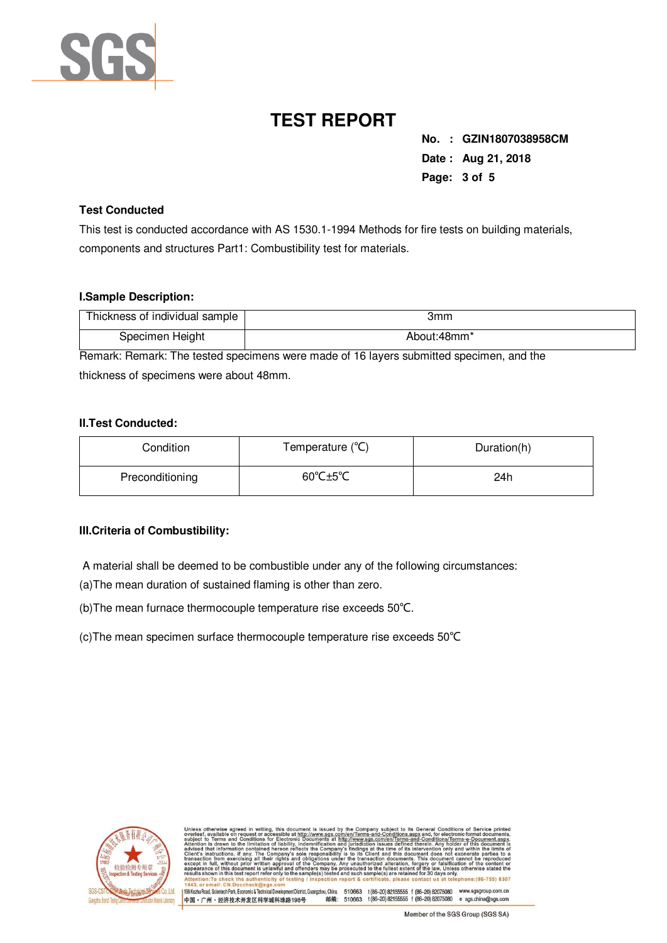

**No. : GZIN1807038958CM Date : Aug 21, 2018 Page: 3 of 5** 

### **Test Conducted**

This test is conducted accordance with AS 1530.1-1994 Methods for fire tests on building materials, components and structures Part1: Combustibility test for materials.

#### **I.Sample Description:**

| Thickness of individual sample | 3mm         |
|--------------------------------|-------------|
| Specimen Height                | About:48mm* |

Remark: Remark: The tested specimens were made of 16 layers submitted specimen, and the thickness of specimens were about 48mm.

### **II.Test Conducted:**

| Condition       | Temperature (°C) | Duration(h) |
|-----------------|------------------|-------------|
| Preconditioning | 60°C±5°C         | 24h         |

### **III.Criteria of Combustibility:**

A material shall be deemed to be combustible under any of the following circumstances:

(a)The mean duration of sustained flaming is other than zero.

(b)The mean furnace thermocouple temperature rise exceeds 50℃.

(c)The mean specimen surface thermocouple temperature rise exceeds 50℃



| Unless otherwise agreed in writing, this document is issued by the Company subject to its General Conditions of Service printed<br>overleaf, available on request or accessible at http://www.sqs.com/en/Terms-and-Conditions.aspx and, for electronic format documents,<br>subject to Terms and Conditions for Electronic Documents at http://www.sgs.com/en/Terms-and-Conditions/Terms-e-Document.aspx.<br>Attention is drawn to the limitation of liability, indemnification and jurisdiction issues defined therein. Any holder of this document is<br>advised that information contained hereon reflects the Company's findings at the time of its intervention only and within the limits of<br>Client's instructions, if any. The Company's sole responsibility is to its Client and this document does not exonerate parties to a<br>transaction from exercising all their rights and obligations under the transaction documents. This document cannot be reproduced<br>except in full, without prior written approval of the Company. Any unauthorized alteration, forgery or falsification of the content or<br>appearance of this document is unlawful and offenders may be prosecuted to the fullest extent of the law. Unless otherwise stated the<br>results shown in this test report refer only to the sample(s) tested and such sample(s) are retained for 30 days only.<br>Attention: To check the authenticity of testing / inspection report & certificate, please contact us at telephone: (86-755) 8307<br>1443, or email: CN.Doccheck@sgs.com |        |                                       |                     |
|-----------------------------------------------------------------------------------------------------------------------------------------------------------------------------------------------------------------------------------------------------------------------------------------------------------------------------------------------------------------------------------------------------------------------------------------------------------------------------------------------------------------------------------------------------------------------------------------------------------------------------------------------------------------------------------------------------------------------------------------------------------------------------------------------------------------------------------------------------------------------------------------------------------------------------------------------------------------------------------------------------------------------------------------------------------------------------------------------------------------------------------------------------------------------------------------------------------------------------------------------------------------------------------------------------------------------------------------------------------------------------------------------------------------------------------------------------------------------------------------------------------------------------------------------------------------------|--------|---------------------------------------|---------------------|
| 198 Kezhu Road, Scientech Park, Economic & Technical Development District, Guangzhou, China.                                                                                                                                                                                                                                                                                                                                                                                                                                                                                                                                                                                                                                                                                                                                                                                                                                                                                                                                                                                                                                                                                                                                                                                                                                                                                                                                                                                                                                                                          | 510663 | t (86-20) 82155555 f (86-20) 82075080 | www.sgsgroup.com.cn |
| 邮编:<br>中国·广州·经济技术开发区科学城科珠路198号                                                                                                                                                                                                                                                                                                                                                                                                                                                                                                                                                                                                                                                                                                                                                                                                                                                                                                                                                                                                                                                                                                                                                                                                                                                                                                                                                                                                                                                                                                                                        | 510663 | t (86-20) 82155555 f (86-20) 82075080 | e sgs.china@sgs.com |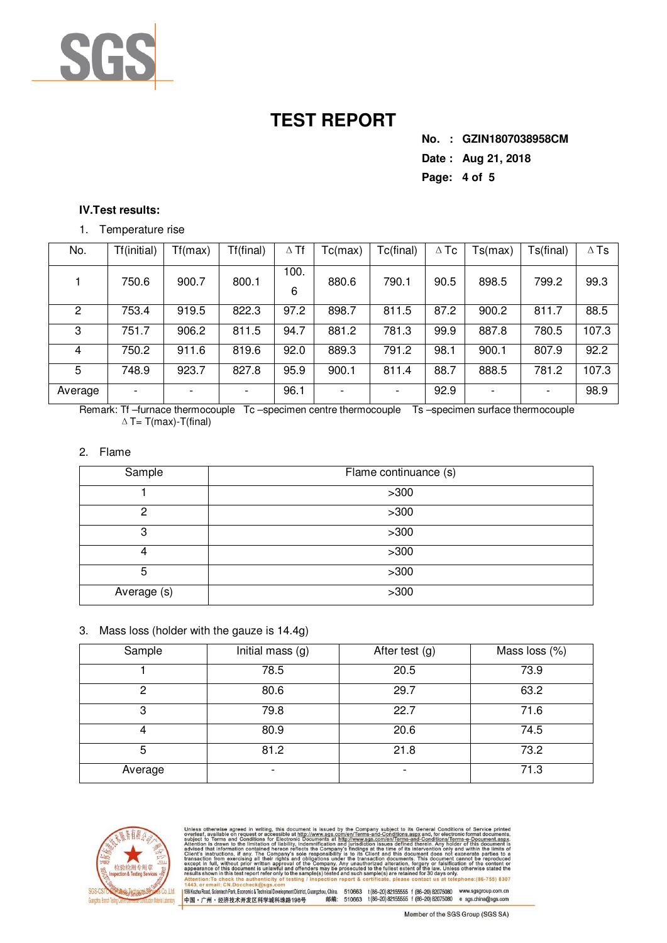

**No. : GZIN1807038958CM Date : Aug 21, 2018 Page: 4 of 5** 

### **IV.Test results:**

#### 1. Temperature rise

| No.     | Tf(initial) | Tf(max) | Tf(final) | $\Delta$ Tf | Tc(max)                  | Tc(final) | $\Delta$ Tc | Ts(max) | Ts(final) | $\Delta$ Ts |
|---------|-------------|---------|-----------|-------------|--------------------------|-----------|-------------|---------|-----------|-------------|
|         | 750.6       | 900.7   | 800.1     | 100.<br>6   | 880.6                    | 790.1     | 90.5        | 898.5   | 799.2     | 99.3        |
| 2       | 753.4       | 919.5   | 822.3     | 97.2        | 898.7                    | 811.5     | 87.2        | 900.2   | 811.7     | 88.5        |
| 3       | 751.7       | 906.2   | 811.5     | 94.7        | 881.2                    | 781.3     | 99.9        | 887.8   | 780.5     | 107.3       |
| 4       | 750.2       | 911.6   | 819.6     | 92.0        | 889.3                    | 791.2     | 98.1        | 900.1   | 807.9     | 92.2        |
| 5       | 748.9       | 923.7   | 827.8     | 95.9        | 900.1                    | 811.4     | 88.7        | 888.5   | 781.2     | 107.3       |
| Average |             |         |           | 96.1        | $\overline{\phantom{0}}$ |           | 92.9        |         |           | 98.9        |

Remark: Tf-furnace thermocouple Tc-specimen centre thermocouple Ts-specimen surface thermocouple  $\triangle T$ = T(max)-T(final)

#### 2. Flame

| Sample      | Flame continuance (s) |
|-------------|-----------------------|
|             | >300                  |
| 2           | >300                  |
| 3           | >300                  |
| 4           | >300                  |
| 5           | >300                  |
| Average (s) | >300                  |

### 3. Mass loss (holder with the gauze is 14.4g)

| Sample  | Initial mass (g)         | After test (g)           | Mass loss (%) |
|---------|--------------------------|--------------------------|---------------|
|         |                          |                          |               |
|         | 78.5                     | 20.5                     | 73.9          |
|         |                          |                          |               |
| 2       | 80.6                     | 29.7                     | 63.2          |
|         |                          |                          |               |
| 3       | 79.8                     | 22.7                     | 71.6          |
|         |                          |                          |               |
| 4       | 80.9                     | 20.6                     | 74.5          |
|         |                          |                          |               |
| 5       | 81.2                     | 21.8                     | 73.2          |
|         |                          |                          |               |
| Average | $\overline{\phantom{a}}$ | $\overline{\phantom{a}}$ | 71.3          |
|         |                          |                          |               |



e Company subject to its General Conditions of Service<br>
mitterms-and-Conditions.aspx and, for electronic format documents<br>
mitterms-and-Conditions.aspx and, for electronic format documents<br>
unidated in Issues defined there s issued by t<br>ww.sgs.com/<br>ments at http<br>ification and  $(86 - 755)$  8307 - 1443, or email: CR. Doccheck@sgs.com<br>198KezhuRoad,Scientech Park,Economic&Technical Development District, Guangzhou,China. 510663 1(86-20) 82075655 f (86-20) 82075080 www.sgsgroup.com.cn<br>中国・广州・经济技术开发区科学城科珠路198号 - 邮编: 5